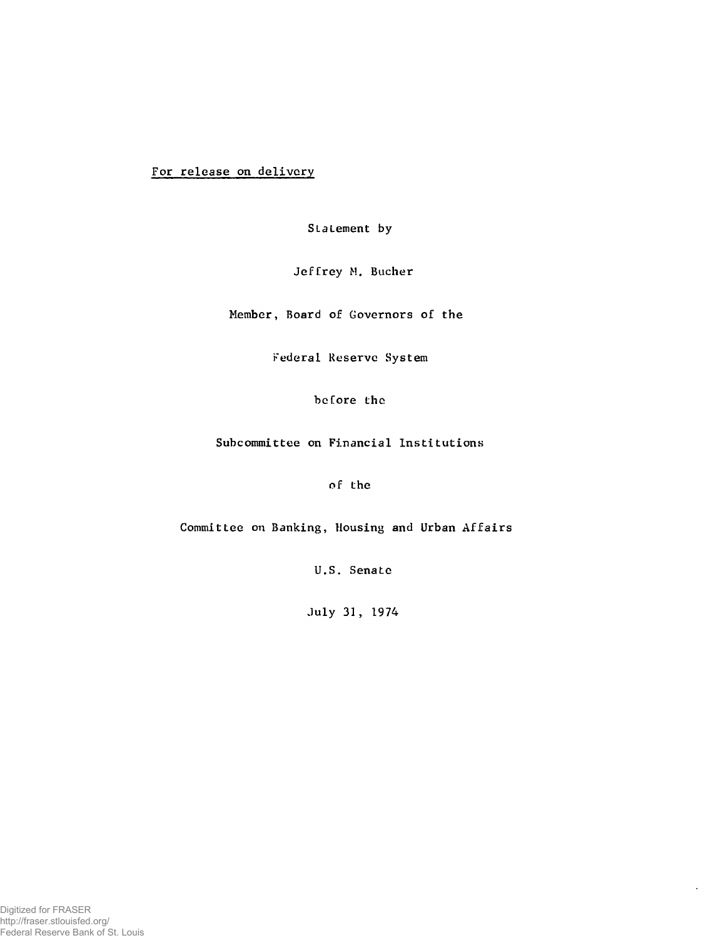For release on delivery

Statement by

Jeffrey M. Bucher

Member, Board of Governors of the

Federal Reserve System

before the

Subcommittee on Financial Institutions

of the

Committee on Banking, Housing and Urban Affairs

U.S. Senate

July 31, 1974

 $\ddot{\phantom{a}}$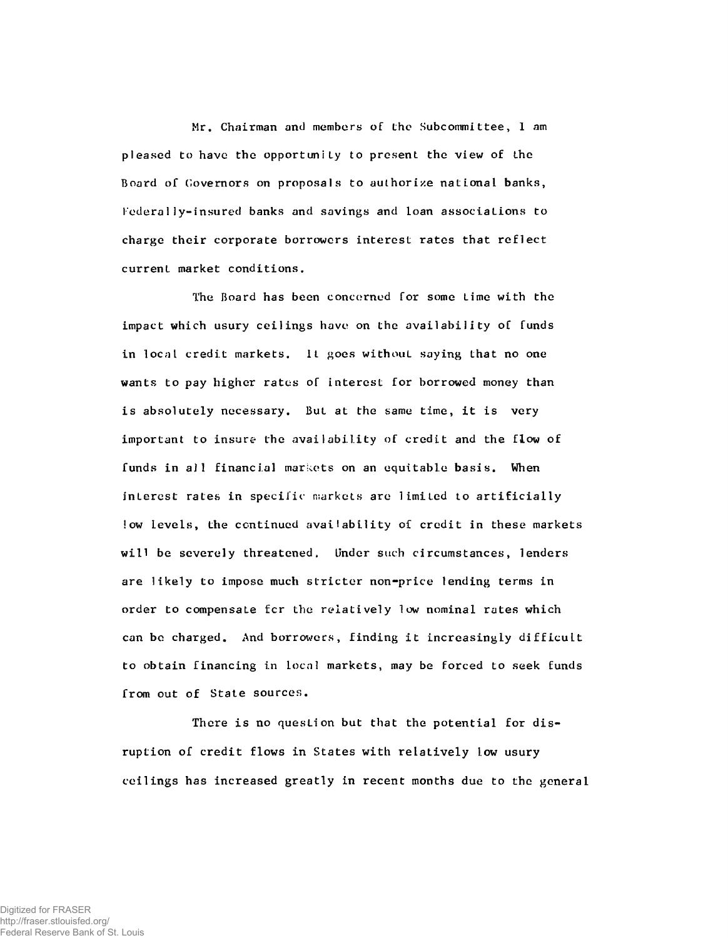Mr. Chairman and members of the Subcommittee, 1 am pleased to have the opportunity to present the view of the Board of Governors on proposals to authorize national banks, I'edera 1 ly-insured banks and savings and loan associations to charge their corporate borrowers interest rates that reflect current market conditions.

The Board has been concerned for some Lime with the impact which usury ceilings have on the availability of funds in local credit markets. It goes without saying that no one wants to pay higher rates of interest for borrowed money than is absolutely necessary. But at the same time, it is very important to insure the availability of credit and the flow of funds in all financial markets on an equitable basis. When interest rates in specific markets are limited to artificially low levels, the continued availability of credit in these markets will be severely threatened. Under such circumstances, lenders are likely to impose much stricter non-price lending terms in order to compensate for the relatively low nominal rates which can bo charged. And borrowers, finding it increasingly difficult to obtain financing in local markets, may be forced to seek funds from out of State sources.

There is no question but that the potential for disruption of credit flows in States with relatively low usury ceilings has increased greatly in recent months due to the general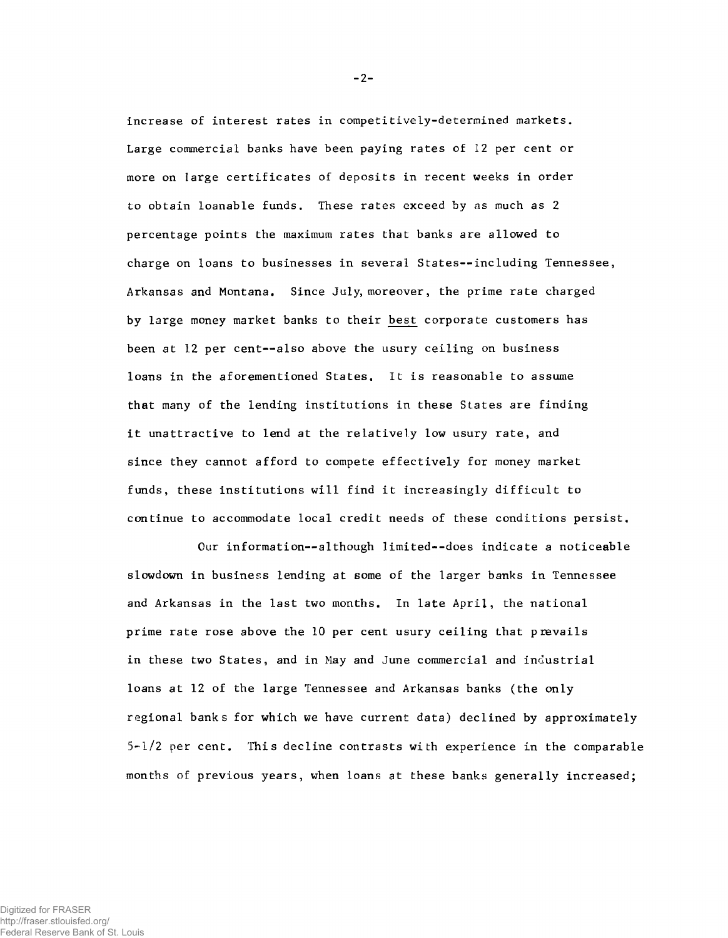increase of interest rates in competitively-determined markets. Large commercial banks have been paying rates of 12 per cent or more on large certificates of deposits in recent weeks in order to obtain loanable funds. These rates exceed by as much as 2 percentage points the maximum rates that banks are allowed to charge on loans to businesses in several States--including Tennessee, Arkansas and Montana. Since July, moreover, the prime rate charged by large money market banks to their best corporate customers has been at 12 per cent--also above the usury ceiling on business loans in the aforementioned States. It is reasonable to assume that many of the lending institutions in these States are finding it unattractive to lend at the relatively low usury rate, and since they cannot afford to compete effectively for money market funds, these institutions will find it increasingly difficult to continue to accommodate local credit needs of these conditions persist.

Our information--although limited--does indicate a noticeable slowdown in business lending at some of the larger banks in Tennessee and Arkansas in the last two months. In late April, the national prime rate rose above the 10 per cent usury ceiling that prevails in these two States, and in May and June commercial and industrial loans at 12 of the large Tennessee and Arkansas banks (the only regional banks for which we have current data) declined by approximately 5-1/2 per cent. This decline contrasts with experience in the comparable months of previous years, when loans at these banks generally increased;

-2-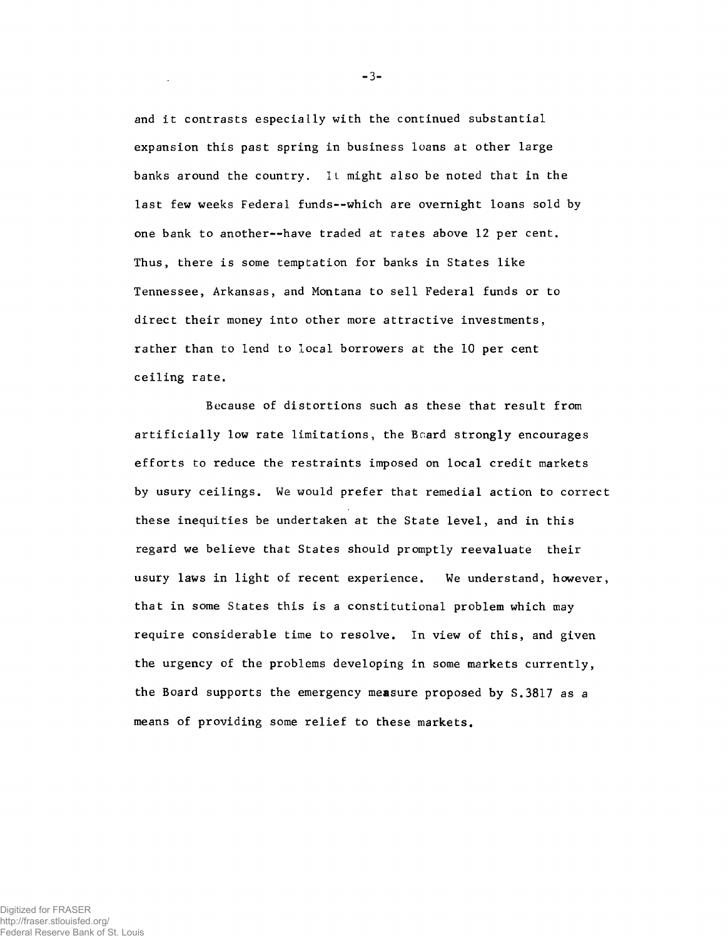and it contrasts especially with the continued substantial expansion this past spring in business loans at other large banks around the country. 1L might also be noted that in the last few weeks Federal funds--which are overnight loans sold by one bank to another— have traded at rates above 12 per cent. Thus, there is some temptation for banks in States like Tennessee, Arkansas, and Montana to sell Federal funds or to direct their money into other more attractive investments, rather than to lend to local borrowers at the 10 per cent ceiling rate.

Because of distortions such as these that result from artificially low rate limitations, the Board strongly encourages efforts to reduce the restraints imposed on local credit markets by usury ceilings. We would prefer that remedial action to correct these inequities be undertaken at the State level, and in this regard we believe that States should promptly reevaluate their usury laws in light of recent experience. We understand, however, that in some States this is a constitutional problem which may require considerable time to resolve. In view of this, and given the urgency of the problems developing in some markets currently, the Board supports the emergency measure proposed by S.3817 as a means of providing some relief to these markets.

 $-3-$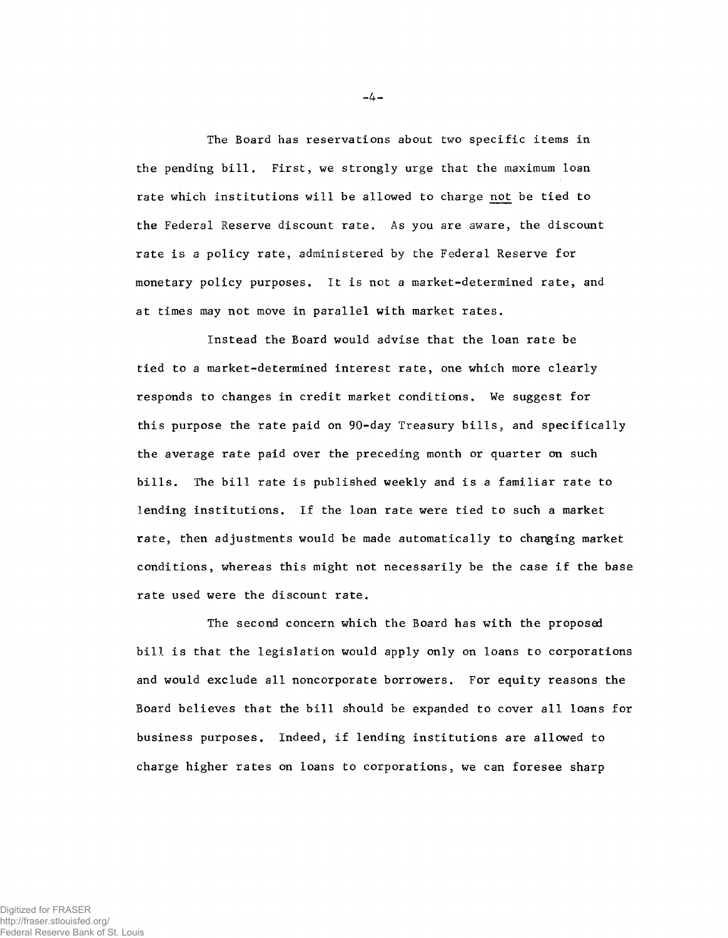The Board has reservations about two specific items in the pending bill. First, we strongly urge that the maximum loan rate which institutions will be allowed to charge not be tied to the Federal Reserve discount rate. As you are aware, the discount rate is a policy rate, administered by the Federal Reserve for monetary policy purposes. It is not a market-determined rate, and at times may not move in parallel with market rates.

Instead the Board would advise that the loan rate be tied to a market-determined interest rate, one which more clearly responds to changes in credit market conditions. We suggest for this purpose the rate paid on 90-day Treasury bills, and specifically the average rate paid over the preceding month or quarter on such bills. The bill rate is published weekly and is a familiar rate to lending institutions. If the loan rate were tied to such a market rate, then adjustments would be made automatically to changing market conditions, whereas this might not necessarily be the case if the base rate used were the discount rate.

The second concern which the Board has with the proposed bill is that the legislation would apply only on loans to corporations and would exclude all noncorporate borrowers. For equity reasons the Board believes that the bill should be expanded to cover all loans for business purposes. Indeed, if lending institutions are allowed to charge higher rates on loans to corporations, we can foresee sharp

 $-4-$